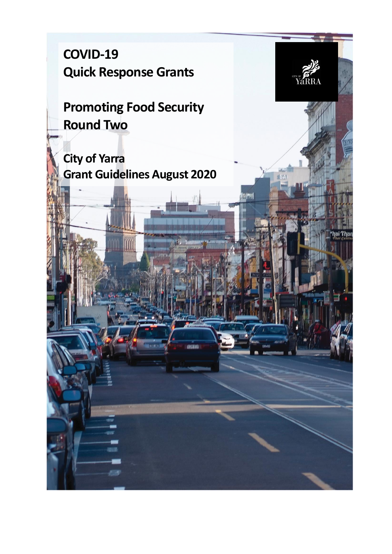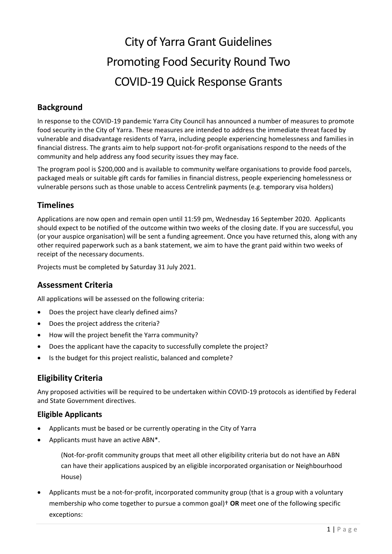# City of Yarra Grant Guidelines Promoting Food Security Round Two COVID-19 Quick Response Grants

# **Background**

In response to the COVID-19 pandemic Yarra City Council has announced a number of measures to promote food security in the City of Yarra. These measures are intended to address the immediate threat faced by vulnerable and disadvantage residents of Yarra, including people experiencing homelessness and families in financial distress. The grants aim to help support not-for-profit organisations respond to the needs of the community and help address any food security issues they may face.

The program pool is \$200,000 and is available to community welfare organisations to provide food parcels, packaged meals or suitable gift cards for families in financial distress, people experiencing homelessness or vulnerable persons such as those unable to access Centrelink payments (e.g. temporary visa holders)

## **Timelines**

Applications are now open and remain open until 11:59 pm, Wednesday 16 September 2020. Applicants should expect to be notified of the outcome within two weeks of the closing date. If you are successful, you (or your auspice organisation) will be sent a funding agreement. Once you have returned this, along with any other required paperwork such as a bank statement, we aim to have the grant paid within two weeks of receipt of the necessary documents.

Projects must be completed by Saturday 31 July 2021.

## **Assessment Criteria**

All applications will be assessed on the following criteria:

- Does the project have clearly defined aims?
- Does the project address the criteria?
- How will the project benefit the Yarra community?
- Does the applicant have the capacity to successfully complete the project?
- Is the budget for this project realistic, balanced and complete?

## **Eligibility Criteria**

Any proposed activities will be required to be undertaken within COVID-19 protocols as identified by Federal and State Government directives.

#### **Eligible Applicants**

- Applicants must be based or be currently operating in the City of Yarra
- Applicants must have an active ABN\*.

(Not-for-profit community groups that meet all other eligibility criteria but do not have an ABN can have their applications auspiced by an eligible incorporated organisation or Neighbourhood House)

 Applicants must be a not-for-profit, incorporated community group (that is a group with a voluntary membership who come together to pursue a common goal)† **OR** meet one of the following specific exceptions: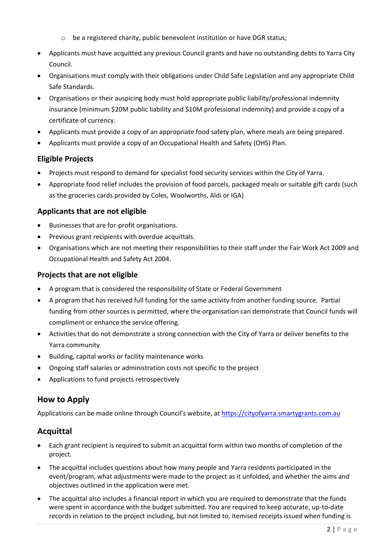- o be a registered charity, public benevolent institution or have DGR status;
- Applicants must have acquitted any previous Council grants and have no outstanding debts to Yarra City Council.
- Organisations must comply with their obligations under Child Safe Legislation and any appropriate Child Safe Standards.
- Organisations or their auspicing body must hold appropriate public liability/professional indemnity insurance (minimum \$20M public liability and \$10M professional indemnity) and provide a copy of a certificate of currency.
- Applicants must provide a copy of an appropriate food safety plan, where meals are being prepared.
- Applicants must provide a copy of an Occupational Health and Safety (OHS) Plan.

## **Eligible Projects**

- Projects must respond to demand for specialist food security services within the City of Yarra.
- Appropriate food relief includes the provision of food parcels, packaged meals or suitable gift cards (such as the groceries cards provided by Coles, Woolworths, Aldi or IGA)

## **Applicants that are not eligible**

- Businesses that are for-profit organisations.
- Previous grant recipients with overdue acquittals.
- Organisations which are not meeting their responsibilities to their staff under the Fair Work Act 2009 and Occupational Health and Safety Act 2004.

#### **Projects that are not eligible**

- A program that is considered the responsibility of State or Federal Government
- A program that has received full funding for the same activity from another funding source. Partial funding from other sources is permitted, where the organisation can demonstrate that Council funds will compliment or enhance the service offering.
- Activities that do not demonstrate a strong connection with the City of Yarra or deliver benefits to the Yarra community
- Building, capital works or facility maintenance works
- Ongoing staff salaries or administration costs not specific to the project
- Applications to fund projects retrospectively

## **How to Apply**

Applications can be made online through Council's website, at [https://cityofyarra.smartygrants.com.au](https://cityofyarra.smartygrants.com.au/)

## **Acquittal**

- Each grant recipient is required to submit an acquittal form within two months of completion of the project.
- The acquittal includes questions about how many people and Yarra residents participated in the event/program, what adjustments were made to the project as it unfolded, and whether the aims and objectives outlined in the application were met.
- The acquittal also includes a financial report in which you are required to demonstrate that the funds were spent in accordance with the budget submitted. You are required to keep accurate, up-to-date records in relation to the project including, but not limited to, itemised receipts issued when funding is